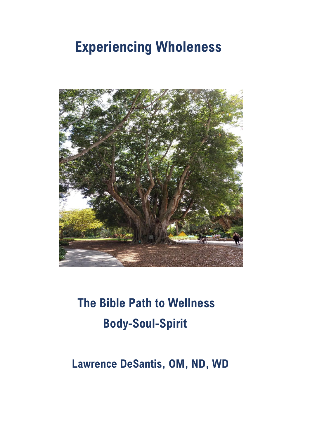# **Experiencing Wholeness**



# **The Bible Path to Wellness Body-Soul-Spirit**

## **Lawrence DeSantis, OM, ND, WD**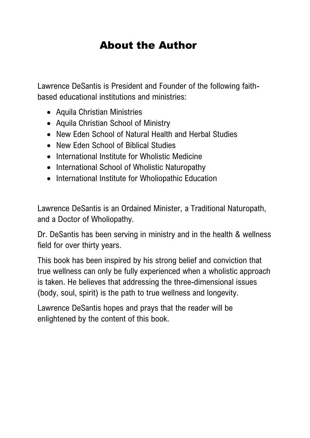## About the Author

Lawrence DeSantis is President and Founder of the following faithbased educational institutions and ministries:

- Aquila Christian Ministries
- Aquila Christian School of Ministry
- New Eden School of Natural Health and Herbal Studies
- New Eden School of Biblical Studies
- International Institute for Wholistic Medicine
- International School of Wholistic Naturopathy
- International Institute for Wholiopathic Education

Lawrence DeSantis is an Ordained Minister, a Traditional Naturopath, and a Doctor of Wholiopathy.

Dr. DeSantis has been serving in ministry and in the health & wellness field for over thirty years.

This book has been inspired by his strong belief and conviction that true wellness can only be fully experienced when a wholistic approach is taken. He believes that addressing the three-dimensional issues (body, soul, spirit) is the path to true wellness and longevity.

Lawrence DeSantis hopes and prays that the reader will be enlightened by the content of this book.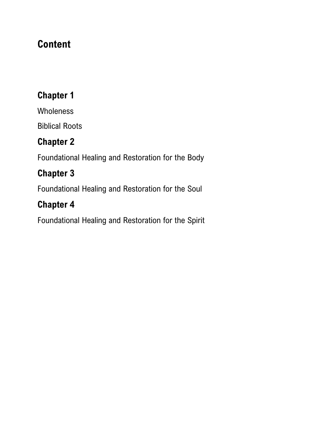## **Content**

## **Chapter 1**

Wholeness

Biblical Roots

## **Chapter 2**

Foundational Healing and Restoration for the Body

## **Chapter 3**

Foundational Healing and Restoration for the Soul

## **Chapter 4**

Foundational Healing and Restoration for the Spirit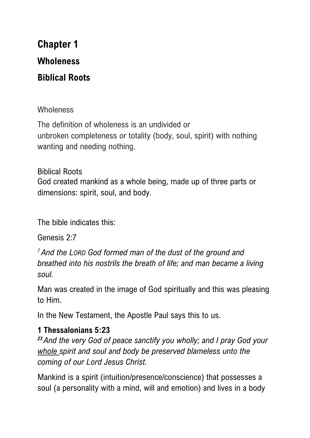## **Chapter 1 Wholeness Biblical Roots**

#### **Wholeness**

The definition of wholeness is an undivided or unbroken completeness or totality (body, soul, spirit) with nothing wanting and needing nothing.

Biblical Roots God created mankind as a whole being, made up of three parts or dimensions: spirit, soul, and body.

The bible indicates this:

Genesis 2:7

*<sup>7</sup> And the LORD God formed man of the dust of the ground and breathed into his nostrils the breath of life; and man became a living soul.*

Man was created in the image of God spiritually and this was pleasing to Him.

In the New Testament, the Apostle Paul says this to us.

#### **1 Thessalonians 5:23**

*<sup>23</sup> And the very God of peace sanctify you wholly; and I pray God your whole spirit and soul and body be preserved blameless unto the coming of our Lord Jesus Christ.*

Mankind is a spirit (intuition/presence/conscience) that possesses a soul (a personality with a mind, will and emotion) and lives in a body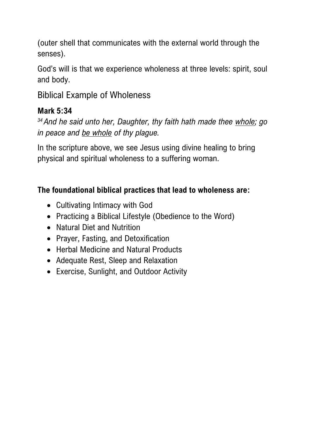(outer shell that communicates with the external world through the senses).

God's will is that we experience wholeness at three levels: spirit, soul and body.

Biblical Example of Wholeness

#### **Mark 5:34**

*<sup>34</sup> And he said unto her, Daughter, thy faith hath made thee whole; go in peace and be whole of thy plague.*

In the scripture above, we see Jesus using divine healing to bring physical and spiritual wholeness to a suffering woman.

#### **The foundational biblical practices that lead to wholeness are:**

- Cultivating Intimacy with God
- Practicing a Biblical Lifestyle (Obedience to the Word)
- Natural Diet and Nutrition
- Prayer, Fasting, and Detoxification
- Herbal Medicine and Natural Products
- Adequate Rest, Sleep and Relaxation
- Exercise, Sunlight, and Outdoor Activity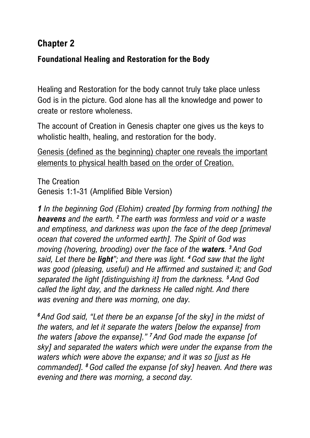### **Chapter 2**

#### **Foundational Healing and Restoration for the Body**

Healing and Restoration for the body cannot truly take place unless God is in the picture. God alone has all the knowledge and power to create or restore wholeness.

The account of Creation in Genesis chapter one gives us the keys to wholistic health, healing, and restoration for the body.

Genesis (defined as the beginning) chapter one reveals the important elements to physical health based on the order of Creation.

The Creation Genesis 1:1-31 (Amplified Bible Version)

*1 In the beginning God (Elohim) created [by forming from nothing] the heavens and the earth. <sup>2</sup> The earth was formless and void or a waste and emptiness, and darkness was upon the face of the deep [primeval ocean that covered the unformed earth]. The Spirit of God was moving (hovering, brooding) over the face of the waters. <sup>3</sup> And God said, Let there be light"; and there was light. <sup>4</sup>God saw that the light was good (pleasing, useful) and He affirmed and sustained it; and God separated the light [distinguishing it] from the darkness. <sup>5</sup> And God called the light day, and the darkness He called night. And there was evening and there was morning, one day.*

*<sup>6</sup> And God said, "Let there be an expanse [of the sky] in the midst of the waters, and let it separate the waters [below the expanse] from the waters [above the expanse]." <sup>7</sup> And God made the expanse [of sky] and separated the waters which were under the expanse from the waters which were above the expanse; and it was so [just as He commanded]. <sup>8</sup>God called the expanse [of sky] heaven. And there was evening and there was morning, a second day.*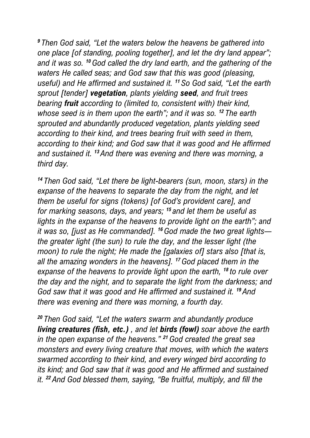*<sup>9</sup> Then God said, "Let the waters below the heavens be gathered into one place [of standing, pooling together], and let the dry land appear"; and it was so. <sup>10</sup>God called the dry land earth, and the gathering of the waters He called seas; and God saw that this was good (pleasing, useful) and He affirmed and sustained it. <sup>11</sup> So God said, "Let the earth sprout [tender] vegetation, plants yielding seed, and fruit trees bearing fruit according to (limited to, consistent with) their kind, whose seed is in them upon the earth"; and it was so. <sup>12</sup> The earth sprouted and abundantly produced vegetation, plants yielding seed according to their kind, and trees bearing fruit with seed in them, according to their kind; and God saw that it was good and He affirmed and sustained it. <sup>13</sup> And there was evening and there was morning, a third day.*

*<sup>14</sup> Then God said, "Let there be light-bearers (sun, moon, stars) in the expanse of the heavens to separate the day from the night, and let them be useful for signs (tokens) [of God's provident care], and for marking seasons, days, and years; <sup>15</sup> and let them be useful as lights in the expanse of the heavens to provide light on the earth"; and it was so, [just as He commanded]. <sup>16</sup>God made the two great lights the greater light (the sun) to rule the day, and the lesser light (the moon) to rule the night; He made the [galaxies of] stars also [that is, all the amazing wonders in the heavens]. <sup>17</sup>God placed them in the expanse of the heavens to provide light upon the earth, <sup>18</sup> to rule over the day and the night, and to separate the light from the darkness; and God saw that it was good and He affirmed and sustained it. <sup>19</sup> And there was evening and there was morning, a fourth day.*

*<sup>20</sup> Then God said, "Let the waters swarm and abundantly produce living creatures (fish, etc.) , and let birds (fowl) soar above the earth in the open expanse of the heavens." <sup>21</sup>God created the great sea monsters and every living creature that moves, with which the waters swarmed according to their kind, and every winged bird according to its kind; and God saw that it was good and He affirmed and sustained it. <sup>22</sup> And God blessed them, saying, "Be fruitful, multiply, and fill the*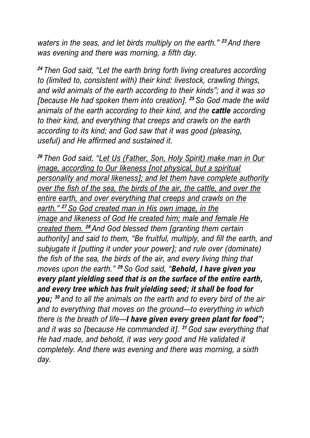*waters in the seas, and let birds multiply on the earth." <sup>23</sup> And there was evening and there was morning, a fifth day.*

*<sup>24</sup> Then God said, "Let the earth bring forth living creatures according to (limited to, consistent with) their kind: livestock, crawling things, and wild animals of the earth according to their kinds"; and it was so [because He had spoken them into creation]. <sup>25</sup> So God made the wild animals of the earth according to their kind, and the cattle according to their kind, and everything that creeps and crawls on the earth according to its kind; and God saw that it was good (pleasing, useful) and He affirmed and sustained it.*

*<sup>26</sup> Then God said, "Let Us (Father, Son, Holy Spirit) make man in Our image, according to Our likeness [not physical, but a spiritual personality and moral likeness]; and let them have complete authority over the fish of the sea, the birds of the air, the cattle, and over the entire earth, and over everything that creeps and crawls on the earth." <sup>27</sup> So God created man in His own image, in the image and likeness of God He created him; male and female He created them. <sup>28</sup> And God blessed them [granting them certain*  authority] and said to them, "Be fruitful, multiply, and fill the earth, and *subjugate it [putting it under your power]; and rule over (dominate) the fish of the sea, the birds of the air, and every living thing that moves upon the earth." <sup>29</sup> So God said, "Behold, I have given you every plant yielding seed that is on the surface of the entire earth, and every tree which has fruit yielding seed; it shall be food for you; <sup>30</sup> and to all the animals on the earth and to every bird of the air and to everything that moves on the ground—to everything in which there is the breath of life—I have given every green plant for food"; and it was so [because He commanded it]. <sup>31</sup>God saw everything that He had made, and behold, it was very good and He validated it completely. And there was evening and there was morning, a sixth day.*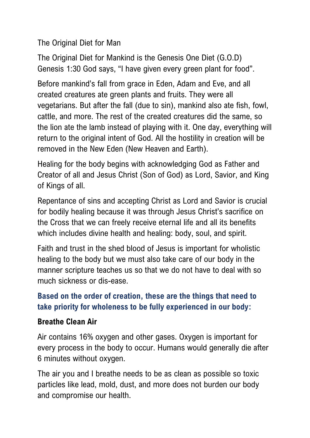The Original Diet for Man

The Original Diet for Mankind is the Genesis One Diet (G.O.D) Genesis 1:30 God says, "I have given every green plant for food".

Before mankind's fall from grace in Eden, Adam and Eve, and all created creatures ate green plants and fruits. They were all vegetarians. But after the fall (due to sin), mankind also ate fish, fowl, cattle, and more. The rest of the created creatures did the same, so the lion ate the lamb instead of playing with it. One day, everything will return to the original intent of God. All the hostility in creation will be removed in the New Eden (New Heaven and Earth).

Healing for the body begins with acknowledging God as Father and Creator of all and Jesus Christ (Son of God) as Lord, Savior, and King of Kings of all.

Repentance of sins and accepting Christ as Lord and Savior is crucial for bodily healing because it was through Jesus Christ's sacrifice on the Cross that we can freely receive eternal life and all its benefits which includes divine health and healing: body, soul, and spirit.

Faith and trust in the shed blood of Jesus is important for wholistic healing to the body but we must also take care of our body in the manner scripture teaches us so that we do not have to deal with so much sickness or dis-ease.

#### **Based on the order of creation, these are the things that need to take priority for wholeness to be fully experienced in our body:**

#### **Breathe Clean Air**

Air contains 16% oxygen and other gases. Oxygen is important for every process in the body to occur. Humans would generally die after 6 minutes without oxygen.

The air you and I breathe needs to be as clean as possible so toxic particles like lead, mold, dust, and more does not burden our body and compromise our health.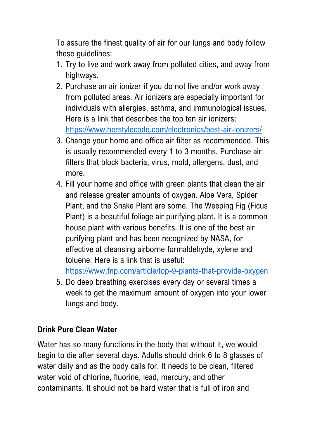To assure the finest quality of air for our lungs and body follow these guidelines:

- 1. Try to live and work away from polluted cities, and away from highways.
- 2. Purchase an air ionizer if you do not live and/or work away from polluted areas. Air ionizers are especially important for individuals with allergies, asthma, and immunological issues. Here is a link that describes the top ten air ionizers: <https://www.herstylecode.com/electronics/best-air-ionizers/>
- 3. Change your home and office air filter as recommended. This is usually recommended every 1 to 3 months. Purchase air filters that block bacteria, virus, mold, allergens, dust, and more.
- 4. Fill your home and office with green plants that clean the air and release greater amounts of oxygen. Aloe Vera, Spider Plant, and the Snake Plant are some. The Weeping Fig (Ficus Plant) is a beautiful foliage air purifying plant. It is a common house plant with various benefits. It is one of the best air purifying plant and has been recognized by NASA, for effective at cleansing airborne formaldehyde, xylene and toluene. Here is a link that is useful:

<https://www.fnp.com/article/top-9-plants-that-provide-oxygen>

5. Do deep breathing exercises every day or several times a week to get the maximum amount of oxygen into your lower lungs and body.

#### **Drink Pure Clean Water**

Water has so many functions in the body that without it, we would begin to die after several days. Adults should drink 6 to 8 glasses of water daily and as the body calls for. It needs to be clean, filtered water void of chlorine, fluorine, lead, mercury, and other contaminants. It should not be hard water that is full of iron and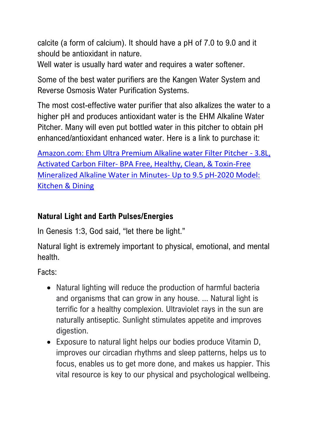calcite (a form of calcium). It should have a pH of 7.0 to 9.0 and it should be antioxidant in nature.

Well water is usually hard water and requires a water softener.

Some of the best water purifiers are the Kangen Water System and Reverse Osmosis Water Purification Systems.

The most cost-effective water purifier that also alkalizes the water to a higher pH and produces antioxidant water is the EHM Alkaline Water Pitcher. Many will even put bottled water in this pitcher to obtain pH enhanced/antioxidant enhanced water. Here is a link to purchase it:

[Amazon.com: Ehm Ultra Premium Alkaline water Filter Pitcher -](https://www.amazon.com/Ultra-Premium-Alkaline-Water-Pitcher/dp/B00HYEIJLW?ref_=ast_sto_dp) 3.8L, Activated Carbon Filter- [BPA Free, Healthy, Clean, & Toxin-Free](https://www.amazon.com/Ultra-Premium-Alkaline-Water-Pitcher/dp/B00HYEIJLW?ref_=ast_sto_dp)  Mineralized Alkaline Water in Minutes- [Up to 9.5 pH-2020 Model:](https://www.amazon.com/Ultra-Premium-Alkaline-Water-Pitcher/dp/B00HYEIJLW?ref_=ast_sto_dp)  [Kitchen & Dining](https://www.amazon.com/Ultra-Premium-Alkaline-Water-Pitcher/dp/B00HYEIJLW?ref_=ast_sto_dp)

#### **Natural Light and Earth Pulses/Energies**

In Genesis 1:3, God said, "let there be light."

Natural light is extremely important to physical, emotional, and mental health.

Facts:

- Natural lighting will reduce the production of harmful bacteria and organisms that can grow in any house. ... Natural light is terrific for a healthy complexion. Ultraviolet rays in the sun are naturally antiseptic. Sunlight stimulates appetite and improves digestion.
- Exposure to natural light helps our bodies produce Vitamin D, improves our circadian rhythms and sleep patterns, helps us to focus, enables us to get more done, and makes us happier. This vital resource is key to our physical and psychological wellbeing.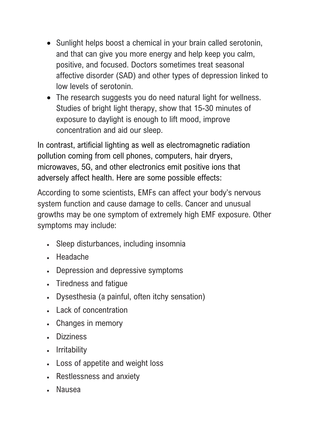- Sunlight helps boost a chemical in your brain called serotonin, and that can give you more energy and help keep you calm, positive, and focused. Doctors sometimes treat seasonal affective disorder (SAD) and other types of depression linked to low levels of serotonin.
- The research suggests you do need natural light for wellness. Studies of bright light therapy, show that 15-30 minutes of exposure to daylight is enough to lift mood, improve concentration and aid our sleep.

In contrast, artificial lighting as well as electromagnetic radiation pollution coming from cell phones, computers, hair dryers, microwaves, 5G, and other electronics emit positive ions that adversely affect health. Here are some possible effects:

According to some scientists, EMFs can affect your body's nervous system function and cause damage to cells. Cancer and unusual growths may be one symptom of extremely high EMF exposure. Other symptoms may include:

- Sleep disturbances, including insomnia
- Headache
- Depression and depressive symptoms
- Tiredness and fatigue
- Dysesthesia (a painful, often itchy sensation)
- Lack of concentration
- Changes in memory
- **Dizziness**
- Irritability
- Loss of appetite and weight loss
- Restlessness and anxiety
- Nausea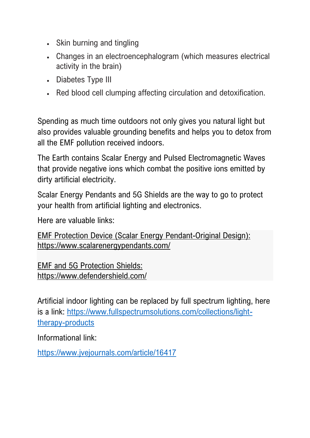- Skin burning and tingling
- Changes in an electroencephalogram (which measures electrical activity in the brain)
- Diabetes Type III
- Red blood cell clumping affecting circulation and detoxification.

Spending as much time outdoors not only gives you natural light but also provides valuable grounding benefits and helps you to detox from all the EMF pollution received indoors.

The Earth contains Scalar Energy and Pulsed Electromagnetic Waves that provide negative ions which combat the positive ions emitted by dirty artificial electricity.

Scalar Energy Pendants and 5G Shields are the way to go to protect your health from artificial lighting and electronics.

Here are valuable links:

EMF Protection Device (Scalar Energy Pendant-Original Design): <https://www.scalarenergypendants.com/>

EMF and 5G Protection Shields: <https://www.defendershield.com/>

Artificial indoor lighting can be replaced by full spectrum lighting, here is a link: [https://www.fullspectrumsolutions.com/collections/light](https://www.fullspectrumsolutions.com/collections/light-therapy-products)[therapy-products](https://www.fullspectrumsolutions.com/collections/light-therapy-products)

Informational link:

<https://www.jvejournals.com/article/16417>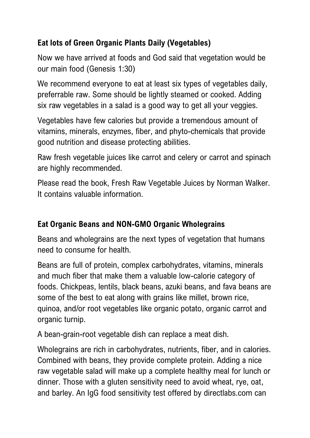#### **Eat lots of Green Organic Plants Daily (Vegetables)**

Now we have arrived at foods and God said that vegetation would be our main food (Genesis 1:30)

We recommend everyone to eat at least six types of vegetables daily, preferrable raw. Some should be lightly steamed or cooked. Adding six raw vegetables in a salad is a good way to get all your veggies.

Vegetables have few calories but provide a tremendous amount of vitamins, minerals, enzymes, fiber, and phyto-chemicals that provide good nutrition and disease protecting abilities.

Raw fresh vegetable juices like carrot and celery or carrot and spinach are highly recommended.

Please read the book, Fresh Raw Vegetable Juices by Norman Walker. It contains valuable information.

#### **Eat Organic Beans and NON-GMO Organic Wholegrains**

Beans and wholegrains are the next types of vegetation that humans need to consume for health.

Beans are full of protein, complex carbohydrates, vitamins, minerals and much fiber that make them a valuable low-calorie category of foods. Chickpeas, lentils, black beans, azuki beans, and fava beans are some of the best to eat along with grains like millet, brown rice, quinoa, and/or root vegetables like organic potato, organic carrot and organic turnip.

A bean-grain-root vegetable dish can replace a meat dish.

Wholegrains are rich in carbohydrates, nutrients, fiber, and in calories. Combined with beans, they provide complete protein. Adding a nice raw vegetable salad will make up a complete healthy meal for lunch or dinner. Those with a gluten sensitivity need to avoid wheat, rye, oat, and barley. An IgG food sensitivity test offered by directlabs.com can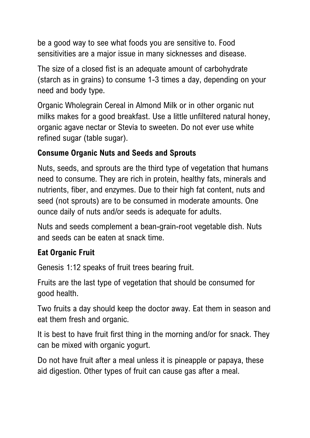be a good way to see what foods you are sensitive to. Food sensitivities are a major issue in many sicknesses and disease.

The size of a closed fist is an adequate amount of carbohydrate (starch as in grains) to consume 1-3 times a day, depending on your need and body type.

Organic Wholegrain Cereal in Almond Milk or in other organic nut milks makes for a good breakfast. Use a little unfiltered natural honey, organic agave nectar or Stevia to sweeten. Do not ever use white refined sugar (table sugar).

#### **Consume Organic Nuts and Seeds and Sprouts**

Nuts, seeds, and sprouts are the third type of vegetation that humans need to consume. They are rich in protein, healthy fats, minerals and nutrients, fiber, and enzymes. Due to their high fat content, nuts and seed (not sprouts) are to be consumed in moderate amounts. One ounce daily of nuts and/or seeds is adequate for adults.

Nuts and seeds complement a bean-grain-root vegetable dish. Nuts and seeds can be eaten at snack time.

## **Eat Organic Fruit**

Genesis 1:12 speaks of fruit trees bearing fruit.

Fruits are the last type of vegetation that should be consumed for good health.

Two fruits a day should keep the doctor away. Eat them in season and eat them fresh and organic.

It is best to have fruit first thing in the morning and/or for snack. They can be mixed with organic yogurt.

Do not have fruit after a meal unless it is pineapple or papaya, these aid digestion. Other types of fruit can cause gas after a meal.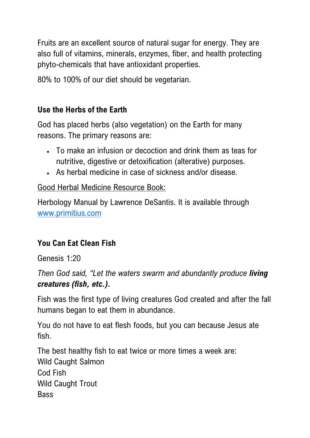Fruits are an excellent source of natural sugar for energy. They are also full of vitamins, minerals, enzymes, fiber, and health protecting phyto-chemicals that have antioxidant properties.

80% to 100% of our diet should be vegetarian.

#### **Use the Herbs of the Earth**

God has placed herbs (also vegetation) on the Earth for many reasons. The primary reasons are:

- To make an infusion or decoction and drink them as teas for nutritive, digestive or detoxification (alterative) purposes.
- As herbal medicine in case of sickness and/or disease.

#### Good Herbal Medicine Resource Book:

Herbology Manual by Lawrence DeSantis. It is available through [www.primitius.com](http://www.primitius.com/)

#### **You Can Eat Clean Fish**

Genesis 1:20

*Then God said, "Let the waters swarm and abundantly produce living creatures (fish, etc.).*

Fish was the first type of living creatures God created and after the fall humans began to eat them in abundance.

You do not have to eat flesh foods, but you can because Jesus ate fish.

The best healthy fish to eat twice or more times a week are: Wild Caught Salmon Cod Fish Wild Caught Trout Bass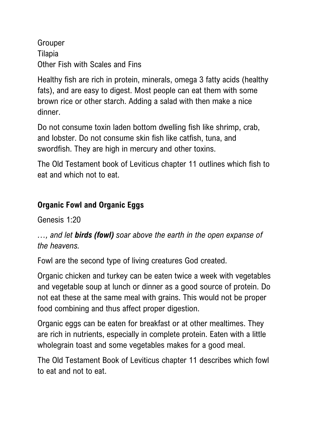Grouper Tilapia Other Fish with Scales and Fins

Healthy fish are rich in protein, minerals, omega 3 fatty acids (healthy fats), and are easy to digest. Most people can eat them with some brown rice or other starch. Adding a salad with then make a nice dinner.

Do not consume toxin laden bottom dwelling fish like shrimp, crab, and lobster. Do not consume skin fish like catfish, tuna, and swordfish. They are high in mercury and other toxins.

The Old Testament book of Leviticus chapter 11 outlines which fish to eat and which not to eat.

#### **Organic Fowl and Organic Eggs**

Genesis 1:20

*…, and let birds (fowl) soar above the earth in the open expanse of the heavens.*

Fowl are the second type of living creatures God created.

Organic chicken and turkey can be eaten twice a week with vegetables and vegetable soup at lunch or dinner as a good source of protein. Do not eat these at the same meal with grains. This would not be proper food combining and thus affect proper digestion.

Organic eggs can be eaten for breakfast or at other mealtimes. They are rich in nutrients, especially in complete protein. Eaten with a little wholegrain toast and some vegetables makes for a good meal.

The Old Testament Book of Leviticus chapter 11 describes which fowl to eat and not to eat.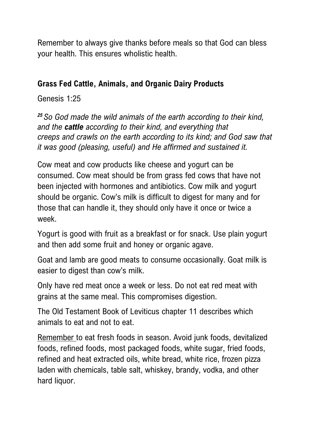Remember to always give thanks before meals so that God can bless your health. This ensures wholistic health.

#### **Grass Fed Cattle, Animals, and Organic Dairy Products**

Genesis 1:25

*<sup>25</sup> So God made the wild animals of the earth according to their kind, and the cattle according to their kind, and everything that creeps and crawls on the earth according to its kind; and God saw that it was good (pleasing, useful) and He affirmed and sustained it.*

Cow meat and cow products like cheese and yogurt can be consumed. Cow meat should be from grass fed cows that have not been injected with hormones and antibiotics. Cow milk and yogurt should be organic. Cow's milk is difficult to digest for many and for those that can handle it, they should only have it once or twice a week.

Yogurt is good with fruit as a breakfast or for snack. Use plain yogurt and then add some fruit and honey or organic agave.

Goat and lamb are good meats to consume occasionally. Goat milk is easier to digest than cow's milk.

Only have red meat once a week or less. Do not eat red meat with grains at the same meal. This compromises digestion.

The Old Testament Book of Leviticus chapter 11 describes which animals to eat and not to eat.

Remember to eat fresh foods in season. Avoid junk foods, devitalized foods, refined foods, most packaged foods, white sugar, fried foods, refined and heat extracted oils, white bread, white rice, frozen pizza laden with chemicals, table salt, whiskey, brandy, vodka, and other hard liquor.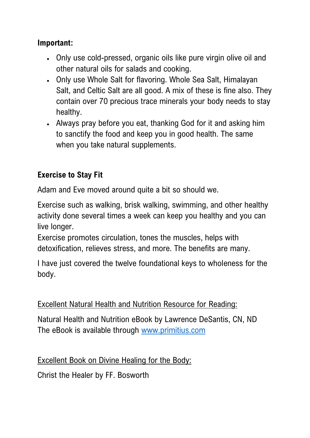#### **Important:**

- Only use cold-pressed, organic oils like pure virgin olive oil and other natural oils for salads and cooking.
- Only use Whole Salt for flavoring. Whole Sea Salt, Himalayan Salt, and Celtic Salt are all good. A mix of these is fine also. They contain over 70 precious trace minerals your body needs to stay healthy.
- Always pray before you eat, thanking God for it and asking him to sanctify the food and keep you in good health. The same when you take natural supplements.

#### **Exercise to Stay Fit**

Adam and Eve moved around quite a bit so should we.

Exercise such as walking, brisk walking, swimming, and other healthy activity done several times a week can keep you healthy and you can live longer.

Exercise promotes circulation, tones the muscles, helps with detoxification, relieves stress, and more. The benefits are many.

I have just covered the twelve foundational keys to wholeness for the body.

#### Excellent Natural Health and Nutrition Resource for Reading:

Natural Health and Nutrition eBook by Lawrence DeSantis, CN, ND The eBook is available through [www.primitius.com](http://www.primitius.com/)

#### Excellent Book on Divine Healing for the Body:

Christ the Healer by FF. Bosworth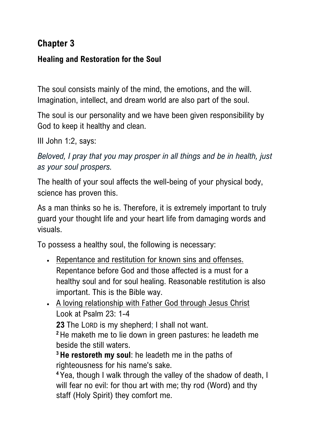## **Chapter 3**

#### **Healing and Restoration for the Soul**

The soul consists mainly of the mind, the emotions, and the will. Imagination, intellect, and dream world are also part of the soul.

The soul is our personality and we have been given responsibility by God to keep it healthy and clean.

III John 1:2, says:

*Beloved, I pray that you may prosper in all things and be in health, just as your soul prospers.*

The health of your soul affects the well-being of your physical body, science has proven this.

As a man thinks so he is. Therefore, it is extremely important to truly guard your thought life and your heart life from damaging words and visuals.

To possess a healthy soul, the following is necessary:

- Repentance and restitution for known sins and offenses. Repentance before God and those affected is a must for a healthy soul and for soul healing. Reasonable restitution is also important. This is the Bible way.
- A loving relationship with Father God through Jesus Christ Look at Psalm 23: 1-4

**23** The LORD is my shepherd; I shall not want.

**<sup>2</sup>** He maketh me to lie down in green pastures: he leadeth me beside the still waters.

**<sup>3</sup> He restoreth my soul**: he leadeth me in the paths of righteousness for his name's sake.

**<sup>4</sup>** Yea, though I walk through the valley of the shadow of death, I will fear no evil: for thou art with me; thy rod (Word) and thy staff (Holy Spirit) they comfort me.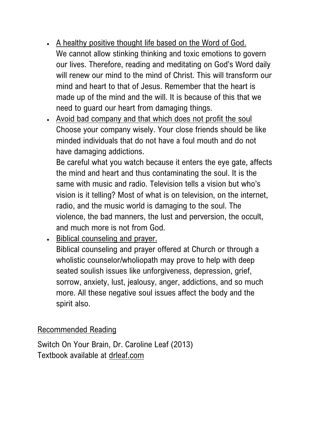- A healthy positive thought life based on the Word of God. We cannot allow stinking thinking and toxic emotions to govern our lives. Therefore, reading and meditating on God's Word daily will renew our mind to the mind of Christ. This will transform our mind and heart to that of Jesus. Remember that the heart is made up of the mind and the will. It is because of this that we need to guard our heart from damaging things.
- Avoid bad company and that which does not profit the soul Choose your company wisely. Your close friends should be like minded individuals that do not have a foul mouth and do not have damaging addictions.

Be careful what you watch because it enters the eye gate, affects the mind and heart and thus contaminating the soul. It is the same with music and radio. Television tells a vision but who's vision is it telling? Most of what is on television, on the internet, radio, and the music world is damaging to the soul. The violence, the bad manners, the lust and perversion, the occult, and much more is not from God.

• Biblical counseling and prayer. Biblical counseling and prayer offered at Church or through a wholistic counselor/wholiopath may prove to help with deep seated soulish issues like unforgiveness, depression, grief, sorrow, anxiety, lust, jealousy, anger, addictions, and so much more. All these negative soul issues affect the body and the spirit also.

#### Recommended Reading

Switch On Your Brain, Dr. Caroline Leaf (2013) Textbook available at [drleaf.com](https://drleaf.com/)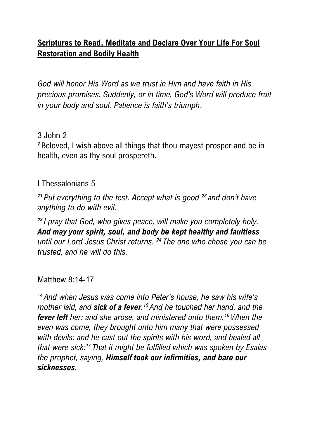#### **Scriptures to Read, Meditate and Declare Over Your Life For Soul Restoration and Bodily Health**

*God will honor His Word as we trust in Him and have faith in His precious promises. Suddenly, or in time, God's Word will produce fruit in your body and soul. Patience is faith's triumph*.

#### 3 John 2

**<sup>2</sup>** Beloved, I wish above all things that thou mayest prosper and be in health, even as thy soul prospereth.

#### I Thessalonians 5

**<sup>21</sup>** *Put everything to the test. Accept what is good <sup>22</sup> and don't have anything to do with evil.*

*<sup>23</sup> I pray that God, who gives peace, will make you completely holy. And may your spirit, soul, and body be kept healthy and faultless until our Lord Jesus Christ returns. <sup>24</sup> The one who chose you can be trusted, and he will do this.*

#### Matthew 8:14-17

<sup>14</sup> *And when Jesus was come into Peter's house, he saw his wife's mother laid, and sick of a fever. <sup>15</sup> And he touched her hand, and the fever left her: and she arose, and ministered unto them.<sup>16</sup> When the even was come, they brought unto him many that were possessed with devils: and he cast out the spirits with his word, and healed all that were sick:<sup>17</sup> That it might be fulfilled which was spoken by Esaias the prophet, saying, Himself took our infirmities, and bare our sicknesses.*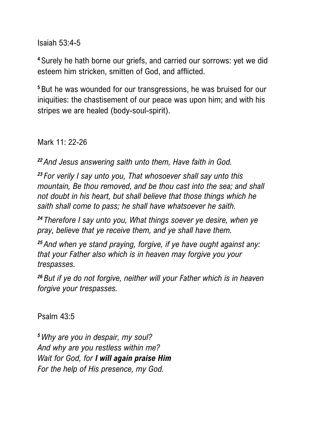Isaiah 53:4-5

**<sup>4</sup>** Surely he hath borne our griefs, and carried our sorrows: yet we did esteem him stricken, smitten of God, and afflicted.

**<sup>5</sup>** But he was wounded for our transgressions, he was bruised for our iniquities: the chastisement of our peace was upon him; and with his stripes we are healed (body-soul-spirit).

Mark 11: 22-26

*<sup>22</sup> And Jesus answering saith unto them, Have faith in God.*

*<sup>23</sup> For verily I say unto you, That whosoever shall say unto this mountain, Be thou removed, and be thou cast into the sea; and shall not doubt in his heart, but shall believe that those things which he saith shall come to pass; he shall have whatsoever he saith.*

*<sup>24</sup> Therefore I say unto you, What things soever ye desire, when ye pray, believe that ye receive them, and ye shall have them.*

*<sup>25</sup> And when ye stand praying, forgive, if ye have ought against any: that your Father also which is in heaven may forgive you your trespasses.*

*<sup>26</sup> But if ye do not forgive, neither will your Father which is in heaven forgive your trespasses.*

Psalm 43:5

*<sup>5</sup>Why are you in despair, my soul? And why are you restless within me? Wait for God, for I will again praise Him For the help of His presence, my God.*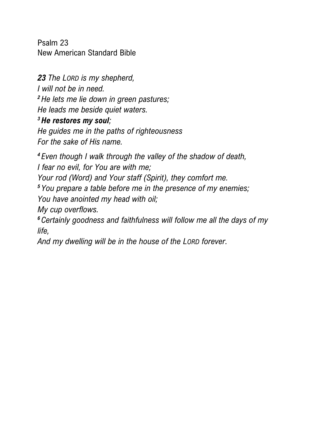Psalm 23 New American Standard Bible

*23 The LORD is my shepherd, I will not be in need. <sup>2</sup> He lets me lie down in green pastures; He leads me beside quiet waters.*

*<sup>3</sup> He restores my soul;*

*He guides me in the paths of righteousness For the sake of His name.*

*<sup>4</sup> Even though I walk through the valley of the shadow of death, I fear no evil, for You are with me; Your rod (Word) and Your staff (Spirit), they comfort me. <sup>5</sup> You prepare a table before me in the presence of my enemies; You have anointed my head with oil; My cup overflows. <sup>6</sup> Certainly goodness and faithfulness will follow me all the days of my life,*

*And my dwelling will be in the house of the LORD forever.*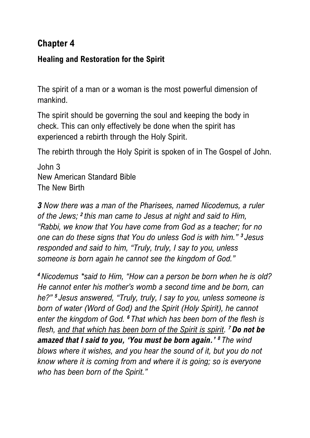### **Chapter 4**

#### **Healing and Restoration for the Spirit**

The spirit of a man or a woman is the most powerful dimension of mankind.

The spirit should be governing the soul and keeping the body in check. This can only effectively be done when the spirit has experienced a rebirth through the Holy Spirit.

The rebirth through the Holy Spirit is spoken of in The Gospel of John.

John 3 New American Standard Bible The New Birth

*3 Now there was a man of the Pharisees, named Nicodemus, a ruler of the Jews; <sup>2</sup> this man came to Jesus at night and said to Him, "Rabbi, we know that You have come from God as a teacher; for no one can do these signs that You do unless God is with him." <sup>3</sup> Jesus responded and said to him, "Truly, truly, I say to you, unless someone is born again he cannot see the kingdom of God."*

*<sup>4</sup> Nicodemus \*said to Him, "How can a person be born when he is old? He cannot enter his mother's womb a second time and be born, can he?" <sup>5</sup> Jesus answered, "Truly, truly, I say to you, unless someone is born of water (Word of God) and the Spirit (Holy Spirit), he cannot enter the kingdom of God. <sup>6</sup> That which has been born of the flesh is flesh, and that which has been born of the Spirit is spirit. <sup>7</sup> Do not be amazed that I said to you, 'You must be born again.' <sup>8</sup> The wind blows where it wishes, and you hear the sound of it, but you do not know where it is coming from and where it is going; so is everyone who has been born of the Spirit."*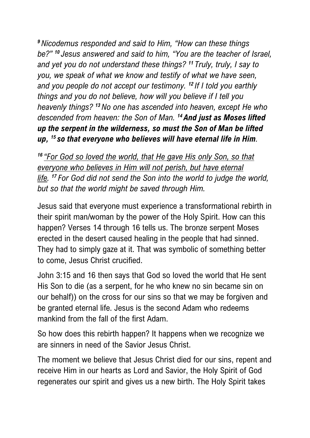*<sup>9</sup> Nicodemus responded and said to Him, "How can these things be?" <sup>10</sup> Jesus answered and said to him, "You are the teacher of Israel, and yet you do not understand these things? <sup>11</sup> Truly, truly, I say to you, we speak of what we know and testify of what we have seen, and you people do not accept our testimony. <sup>12</sup> If I told you earthly things and you do not believe, how will you believe if I tell you heavenly things? <sup>13</sup>No one has ascended into heaven, except He who descended from heaven: the Son of Man. <sup>14</sup> And just as Moses lifted up the serpent in the wilderness, so must the Son of Man be lifted up, <sup>15</sup> so that everyone who believes will have eternal life in Him.*

*<sup>16</sup> "For God so loved the world, that He gave His only Son, so that everyone who believes in Him will not perish, but have eternal life. <sup>17</sup> For God did not send the Son into the world to judge the world, but so that the world might be saved through Him.*

Jesus said that everyone must experience a transformational rebirth in their spirit man/woman by the power of the Holy Spirit. How can this happen? Verses 14 through 16 tells us. The bronze serpent Moses erected in the desert caused healing in the people that had sinned. They had to simply gaze at it. That was symbolic of something better to come, Jesus Christ crucified.

John 3:15 and 16 then says that God so loved the world that He sent His Son to die (as a serpent, for he who knew no sin became sin on our behalf)) on the cross for our sins so that we may be forgiven and be granted eternal life. Jesus is the second Adam who redeems mankind from the fall of the first Adam.

So how does this rebirth happen? It happens when we recognize we are sinners in need of the Savior Jesus Christ.

The moment we believe that Jesus Christ died for our sins, repent and receive Him in our hearts as Lord and Savior, the Holy Spirit of God regenerates our spirit and gives us a new birth. The Holy Spirit takes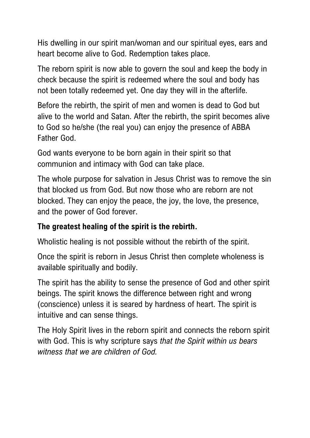His dwelling in our spirit man/woman and our spiritual eyes, ears and heart become alive to God. Redemption takes place.

The reborn spirit is now able to govern the soul and keep the body in check because the spirit is redeemed where the soul and body has not been totally redeemed yet. One day they will in the afterlife.

Before the rebirth, the spirit of men and women is dead to God but alive to the world and Satan. After the rebirth, the spirit becomes alive to God so he/she (the real you) can enjoy the presence of ABBA Father God.

God wants everyone to be born again in their spirit so that communion and intimacy with God can take place.

The whole purpose for salvation in Jesus Christ was to remove the sin that blocked us from God. But now those who are reborn are not blocked. They can enjoy the peace, the joy, the love, the presence, and the power of God forever.

#### **The greatest healing of the spirit is the rebirth.**

Wholistic healing is not possible without the rebirth of the spirit.

Once the spirit is reborn in Jesus Christ then complete wholeness is available spiritually and bodily.

The spirit has the ability to sense the presence of God and other spirit beings. The spirit knows the difference between right and wrong (conscience) unless it is seared by hardness of heart. The spirit is intuitive and can sense things.

The Holy Spirit lives in the reborn spirit and connects the reborn spirit with God. This is why scripture says *that the Spirit within us bears witness that we are children of God.*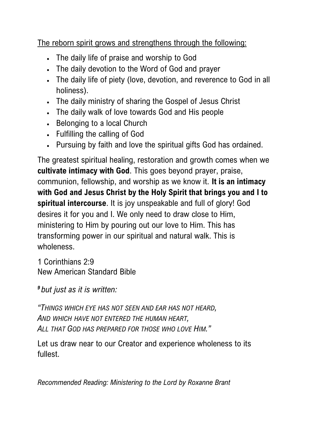The reborn spirit grows and strengthens through the following:

- The daily life of praise and worship to God
- The daily devotion to the Word of God and prayer
- The daily life of piety (love, devotion, and reverence to God in all holiness).
- The daily ministry of sharing the Gospel of Jesus Christ
- The daily walk of love towards God and His people
- Belonging to a local Church
- Fulfilling the calling of God
- Pursuing by faith and love the spiritual gifts God has ordained.

The greatest spiritual healing, restoration and growth comes when we **cultivate intimacy with God**. This goes beyond prayer, praise, communion, fellowship, and worship as we know it. **It is an intimacy with God and Jesus Christ by the Holy Spirit that brings you and I to spiritual intercourse**. It is joy unspeakable and full of glory! God desires it for you and I. We only need to draw close to Him, ministering to Him by pouring out our love to Him. This has transforming power in our spiritual and natural walk. This is wholeness.

1 Corinthians 2:9 New American Standard Bible

*<sup>9</sup> but just as it is written:*

*"THINGS WHICH EYE HAS NOT SEEN AND EAR HAS NOT HEARD, AND WHICH HAVE NOT ENTERED THE HUMAN HEART, ALL THAT GOD HAS PREPARED FOR THOSE WHO LOVE HIM."*

Let us draw near to our Creator and experience wholeness to its fullest.

*Recommended Reading: Ministering to the Lord by Roxanne Brant*